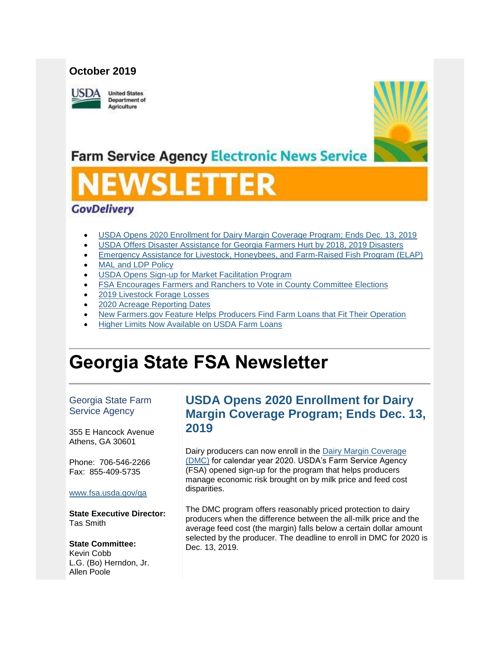### **October 2019**

**USDA** 

**United States** Department of Agriculture



## **Farm Service Agency Electronic News Service**

# **VSLET**

## **GovDelivery**

- [USDA Opens 2020 Enrollment for Dairy Margin Coverage Program; Ends Dec. 13, 2019](#page-0-0)
- [USDA Offers Disaster Assistance for Georgia Farmers Hurt by 2018, 2019 Disasters](#page-1-0)
- [Emergency Assistance for Livestock, Honeybees, and Farm-Raised Fish Program \(ELAP\)](#page-3-0)
- MAL and LDP Policy
- [USDA Opens Sign-up for Market Facilitation Program](#page-4-0)
- [FSA Encourages Farmers and Ranchers to Vote in County Committee Elections](#page-5-0)
- [2019 Livestock Forage Losses](#page-5-1)
- [2020 Acreage Reporting Dates](#page-6-0)
- [New Farmers.gov Feature Helps Producers Find Farm Loans that Fit Their Operation](#page-7-0)
- [Higher Limits Now Available on USDA Farm Loans](#page-8-0)

## **Georgia State FSA Newsletter**

#### Georgia State Farm Service Agency

355 E Hancock Avenue Athens, GA 30601

Phone: 706-546-2266 Fax: 855-409-5735

[www.fsa.usda.gov/ga](https://gcc02.safelinks.protection.outlook.com/?url=http%3A%2F%2Fwww.fsa.usda.gov%2Fxx%3Futm_medium%3Demail%26utm_source%3Dgovdelivery&data=02%7C01%7C%7C8572926d68684edd44dd08d758984986%7Ced5b36e701ee4ebc867ee03cfa0d4697%7C0%7C0%7C637075283411988256&sdata=SnxjpHo%2F7AXpMD70yaDOh4iPDewepAP3woXQaCechx8%3D&reserved=0)

**State Executive Director:** Tas Smith

#### **State Committee:**

Kevin Cobb L.G. (Bo) Herndon, Jr. Allen Poole

## <span id="page-0-0"></span>**USDA Opens 2020 Enrollment for Dairy Margin Coverage Program; Ends Dec. 13, 2019**

Dairy producers can now enroll in the [Dairy Margin Coverage](https://gcc02.safelinks.protection.outlook.com/?data=02%7C01%7C%7Cd0f82d29fdc84934b8b508d74b5ea99a%7Ced5b36e701ee4ebc867ee03cfa0d4697%7C0%7C0%7C637060742328474620&reserved=0&sdata=cx74iTzPYELV0BQmPd67KFiCGA2HUawaYPHbCmojeZo%3D&url=https%3A%2F%2Fwww.fsa.usda.gov%2FAssets%2FUSDA-FSA-Public%2Fusdafiles%2FFactSheets%2F2019%2Fdairy_margin_coverage_program-june_2019_fact_sheet.pdf%3Futm_medium%3Demail%26utm_source%3Dgovdelivery&utm_medium=email&utm_source=govdelivery)  [\(DMC\)](https://gcc02.safelinks.protection.outlook.com/?data=02%7C01%7C%7Cd0f82d29fdc84934b8b508d74b5ea99a%7Ced5b36e701ee4ebc867ee03cfa0d4697%7C0%7C0%7C637060742328474620&reserved=0&sdata=cx74iTzPYELV0BQmPd67KFiCGA2HUawaYPHbCmojeZo%3D&url=https%3A%2F%2Fwww.fsa.usda.gov%2FAssets%2FUSDA-FSA-Public%2Fusdafiles%2FFactSheets%2F2019%2Fdairy_margin_coverage_program-june_2019_fact_sheet.pdf%3Futm_medium%3Demail%26utm_source%3Dgovdelivery&utm_medium=email&utm_source=govdelivery) for calendar year 2020. USDA's Farm Service Agency (FSA) opened sign-up for the program that helps producers manage economic risk brought on by milk price and feed cost disparities.

The DMC program offers reasonably priced protection to dairy producers when the difference between the all-milk price and the average feed cost (the margin) falls below a certain dollar amount selected by the producer. The deadline to enroll in DMC for 2020 is Dec. 13, 2019.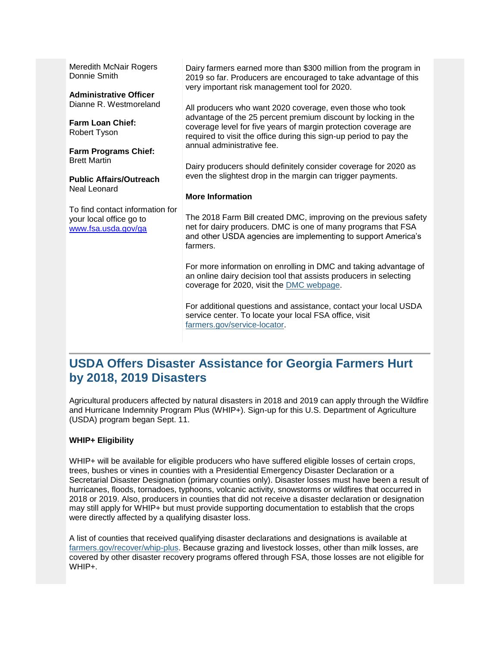Meredith McNair Rogers Donnie Smith

**Administrative Officer** Dianne R. Westmoreland

**Farm Loan Chief:** Robert Tyson

**Farm Programs Chief:** Brett Martin

**Public Affairs/Outreach** Neal Leonard

To find contact information for your local office go to [www.fsa.usda.gov/ga](http://www.fsa.usda.gov/ga)

Dairy farmers earned more than \$300 million from the program in 2019 so far. Producers are encouraged to take advantage of this very important risk management tool for 2020.

All producers who want 2020 coverage, even those who took advantage of the 25 percent premium discount by locking in the coverage level for five years of margin protection coverage are required to visit the office during this sign-up period to pay the annual administrative fee.

Dairy producers should definitely consider coverage for 2020 as even the slightest drop in the margin can trigger payments.

#### **More Information**

The 2018 Farm Bill created DMC, improving on the previous safety net for dairy producers. DMC is one of many programs that FSA and other USDA agencies are implementing to support America's farmers.

For more information on enrolling in DMC and taking advantage of an online dairy decision tool that assists producers in selecting coverage for 2020, visit the [DMC webpage.](https://gcc02.safelinks.protection.outlook.com/?data=02%7C01%7C%7Cd0f82d29fdc84934b8b508d74b5ea99a%7Ced5b36e701ee4ebc867ee03cfa0d4697%7C0%7C0%7C637060742328474620&reserved=0&sdata=CzSGFNCco2mGC%2BEow9YEh7QMzlf7CQm6480thNS64lo%3D&url=https%3A%2F%2Fwww.fsa.usda.gov%2Fprograms-and-services%2Fdairy-margin-coverage-program%2Findex%3Futm_medium%3Demail%26utm_source%3Dgovdelivery&utm_medium=email&utm_source=govdelivery)

For additional questions and assistance, contact your local USDA service center. To locate your local FSA office, visit [farmers.gov/service-locator.](https://gcc02.safelinks.protection.outlook.com/?data=02%7C01%7C%7Cd0f82d29fdc84934b8b508d74b5ea99a%7Ced5b36e701ee4ebc867ee03cfa0d4697%7C0%7C0%7C637060742328484615&reserved=0&sdata=nP5j6fxPFBvtSDmtRmdQ%2Fdvj9w3%2FW5yDxFU4UkCVswk%3D&url=https%3A%2F%2Fwww.farmers.gov%2Fservice-center-locator%3Futm_medium%3Demail%26utm_source%3Dgovdelivery&utm_medium=email&utm_source=govdelivery)

## <span id="page-1-0"></span>**USDA Offers Disaster Assistance for Georgia Farmers Hurt by 2018, 2019 Disasters**

Agricultural producers affected by natural disasters in 2018 and 2019 can apply through the Wildfire and Hurricane Indemnity Program Plus (WHIP+). Sign-up for this U.S. Department of Agriculture (USDA) program began Sept. 11.

#### **WHIP+ Eligibility**

WHIP+ will be available for eligible producers who have suffered eligible losses of certain crops, trees, bushes or vines in counties with a Presidential Emergency Disaster Declaration or a Secretarial Disaster Designation (primary counties only). Disaster losses must have been a result of hurricanes, floods, tornadoes, typhoons, volcanic activity, snowstorms or wildfires that occurred in 2018 or 2019. Also, producers in counties that did not receive a disaster declaration or designation may still apply for WHIP+ but must provide supporting documentation to establish that the crops were directly affected by a qualifying disaster loss.

A list of counties that received qualifying disaster declarations and designations is available at [farmers.gov/recover/whip-plus.](https://gcc02.safelinks.protection.outlook.com/?data=02%7C01%7C%7Cedf4c56314cc40b16e0108d737abe7a4%7Ced5b36e701ee4ebc867ee03cfa0d4697%7C0%7C0%7C637039083896297481&reserved=0&sdata=uDTK4J%2BLpZVgfXb%2Fep%2FqiCcIQRx5r4ys90a6b8beNPk%3D&url=https%3A%2F%2Fwww.farmers.gov%2Frecover%2Fwhip-plus%3Futm_medium%3Demail%26utm_source%3Dgovdelivery&utm_medium=email&utm_source=govdelivery) Because grazing and livestock losses, other than milk losses, are covered by other disaster recovery programs offered through FSA, those losses are not eligible for WHIP+.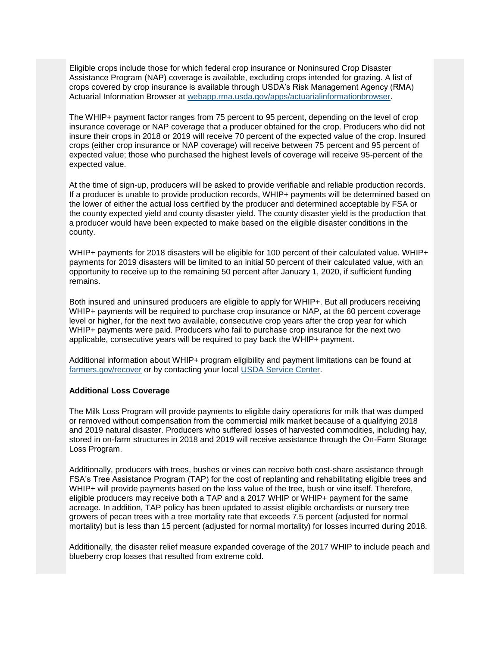Eligible crops include those for which federal crop insurance or Noninsured Crop Disaster Assistance Program (NAP) coverage is available, excluding crops intended for grazing. A list of crops covered by crop insurance is available through USDA's Risk Management Agency (RMA) Actuarial Information Browser at [webapp.rma.usda.gov/apps/actuarialinformationbrowser.](https://gcc02.safelinks.protection.outlook.com/?data=02%7C01%7C%7Cedf4c56314cc40b16e0108d737abe7a4%7Ced5b36e701ee4ebc867ee03cfa0d4697%7C0%7C0%7C637039083896307501&reserved=0&sdata=jXyP0j%2BFU612yLm9EsQdweASrsQXZoMOAXiz8T6kiis%3D&url=https%3A%2F%2Fwebapp.rma.usda.gov%2Fapps%2Factuarialinformationbrowser%2F%3Futm_medium%3Demail%26utm_source%3Dgovdelivery&utm_medium=email&utm_source=govdelivery)

The WHIP+ payment factor ranges from 75 percent to 95 percent, depending on the level of crop insurance coverage or NAP coverage that a producer obtained for the crop. Producers who did not insure their crops in 2018 or 2019 will receive 70 percent of the expected value of the crop. Insured crops (either crop insurance or NAP coverage) will receive between 75 percent and 95 percent of expected value; those who purchased the highest levels of coverage will receive 95-percent of the expected value.

At the time of sign-up, producers will be asked to provide verifiable and reliable production records. If a producer is unable to provide production records, WHIP+ payments will be determined based on the lower of either the actual loss certified by the producer and determined acceptable by FSA or the county expected yield and county disaster yield. The county disaster yield is the production that a producer would have been expected to make based on the eligible disaster conditions in the county.

WHIP+ payments for 2018 disasters will be eligible for 100 percent of their calculated value. WHIP+ payments for 2019 disasters will be limited to an initial 50 percent of their calculated value, with an opportunity to receive up to the remaining 50 percent after January 1, 2020, if sufficient funding remains.

Both insured and uninsured producers are eligible to apply for WHIP+. But all producers receiving WHIP+ payments will be required to purchase crop insurance or NAP, at the 60 percent coverage level or higher, for the next two available, consecutive crop years after the crop year for which WHIP+ payments were paid. Producers who fail to purchase crop insurance for the next two applicable, consecutive years will be required to pay back the WHIP+ payment.

Additional information about WHIP+ program eligibility and payment limitations can be found at [farmers.gov/recover](https://gcc02.safelinks.protection.outlook.com/?data=02%7C01%7C%7Cedf4c56314cc40b16e0108d737abe7a4%7Ced5b36e701ee4ebc867ee03cfa0d4697%7C0%7C0%7C637039083896307501&reserved=0&sdata=n2GSB%2FS7t4%2Fs15kYxgRd4k5EiKEYYUBcLF8KrtGjtKk%3D&url=https%3A%2F%2Fwww.farmers.gov%2Frecover%2Fwhip-plus%3Futm_medium%3Demail%26utm_source%3Dgovdelivery&utm_medium=email&utm_source=govdelivery) or by contacting your local [USDA Service Center.](https://gcc02.safelinks.protection.outlook.com/?data=02%7C01%7C%7Cedf4c56314cc40b16e0108d737abe7a4%7Ced5b36e701ee4ebc867ee03cfa0d4697%7C0%7C0%7C637039083896307501&reserved=0&sdata=jMBh%2FvACpdOtK0HfhEdcqY3W7ptI51uO3gcUKXGlPsI%3D&url=https%3A%2F%2Fwww.farmers.gov%2Fservice-center-locator%3Futm_medium%3Demail%26utm_source%3Dgovdelivery&utm_medium=email&utm_source=govdelivery)

#### **Additional Loss Coverage**

The Milk Loss Program will provide payments to eligible dairy operations for milk that was dumped or removed without compensation from the commercial milk market because of a qualifying 2018 and 2019 natural disaster. Producers who suffered losses of harvested commodities, including hay, stored in on-farm structures in 2018 and 2019 will receive assistance through the On-Farm Storage Loss Program.

Additionally, producers with trees, bushes or vines can receive both cost-share assistance through FSA's Tree Assistance Program (TAP) for the cost of replanting and rehabilitating eligible trees and WHIP+ will provide payments based on the loss value of the tree, bush or vine itself. Therefore, eligible producers may receive both a TAP and a 2017 WHIP or WHIP+ payment for the same acreage. In addition, TAP policy has been updated to assist eligible orchardists or nursery tree growers of pecan trees with a tree mortality rate that exceeds 7.5 percent (adjusted for normal mortality) but is less than 15 percent (adjusted for normal mortality) for losses incurred during 2018.

Additionally, the disaster relief measure expanded coverage of the 2017 WHIP to include peach and blueberry crop losses that resulted from extreme cold.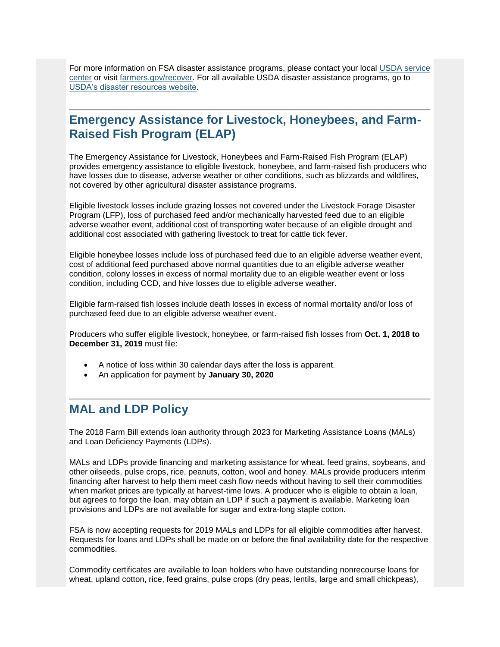For more information on FSA disaster assistance programs, please contact your local [USDA service](https://gcc02.safelinks.protection.outlook.com/?data=02%7C01%7C%7Cedf4c56314cc40b16e0108d737abe7a4%7Ced5b36e701ee4ebc867ee03cfa0d4697%7C0%7C0%7C637039083896317504&reserved=0&sdata=Fh4eDAVbHCKHm3l065EpBucEjkyCJu1OlOJtddcQ0jQ%3D&url=https%3A%2F%2Fwww.farmers.gov%2Fservice-center-locator%3Futm_medium%3Demail%26utm_source%3Dgovdelivery&utm_medium=email&utm_source=govdelivery)  [center](https://gcc02.safelinks.protection.outlook.com/?data=02%7C01%7C%7Cedf4c56314cc40b16e0108d737abe7a4%7Ced5b36e701ee4ebc867ee03cfa0d4697%7C0%7C0%7C637039083896317504&reserved=0&sdata=Fh4eDAVbHCKHm3l065EpBucEjkyCJu1OlOJtddcQ0jQ%3D&url=https%3A%2F%2Fwww.farmers.gov%2Fservice-center-locator%3Futm_medium%3Demail%26utm_source%3Dgovdelivery&utm_medium=email&utm_source=govdelivery) or visit [farmers.gov/recover.](https://gcc02.safelinks.protection.outlook.com/?data=02%7C01%7C%7Cedf4c56314cc40b16e0108d737abe7a4%7Ced5b36e701ee4ebc867ee03cfa0d4697%7C0%7C0%7C637039083896317504&reserved=0&sdata=LYtlJENxSxTE7u1Em8XXrzXj5Wg%2FMEnudUo6wj1vLpM%3D&url=https%3A%2F%2Fwww.farmers.gov%2Frecover%3Futm_medium%3Demail%26utm_source%3Dgovdelivery&utm_medium=email&utm_source=govdelivery) For all available USDA disaster assistance programs, go to [USDA's disaster resources website.](https://gcc02.safelinks.protection.outlook.com/?data=02%7C01%7C%7Cedf4c56314cc40b16e0108d737abe7a4%7Ced5b36e701ee4ebc867ee03cfa0d4697%7C0%7C0%7C637039083896327516&reserved=0&sdata=6f3N0uA1lZG4EAU197U3xN5NRXLvEUpLMnU69KNkBrY%3D&url=https%3A%2F%2Fwww.usda.gov%2Ftopics%2Fdisaster%2Fstorms%3Futm_medium%3Demail%26utm_source%3Dgovdelivery&utm_medium=email&utm_source=govdelivery)

## <span id="page-3-0"></span>**Emergency Assistance for Livestock, Honeybees, and Farm-Raised Fish Program (ELAP)**

The Emergency Assistance for Livestock, Honeybees and Farm-Raised Fish Program (ELAP) provides emergency assistance to eligible livestock, honeybee, and farm-raised fish producers who have losses due to disease, adverse weather or other conditions, such as blizzards and wildfires, not covered by other agricultural disaster assistance programs.

Eligible livestock losses include grazing losses not covered under the Livestock Forage Disaster Program (LFP), loss of purchased feed and/or mechanically harvested feed due to an eligible adverse weather event, additional cost of transporting water because of an eligible drought and additional cost associated with gathering livestock to treat for cattle tick fever.

Eligible honeybee losses include loss of purchased feed due to an eligible adverse weather event, cost of additional feed purchased above normal quantities due to an eligible adverse weather condition, colony losses in excess of normal mortality due to an eligible weather event or loss condition, including CCD, and hive losses due to eligible adverse weather.

Eligible farm-raised fish losses include death losses in excess of normal mortality and/or loss of purchased feed due to an eligible adverse weather event.

Producers who suffer eligible livestock, honeybee, or farm-raised fish losses from **Oct. 1, 2018 to December 31, 2019** must file:

- A notice of loss within 30 calendar days after the loss is apparent.
- An application for payment by **January 30, 2020**

## <span id="page-3-1"></span>**MAL and LDP Policy**

The 2018 Farm Bill extends loan authority through 2023 for Marketing Assistance Loans (MALs) and Loan Deficiency Payments (LDPs).

MALs and LDPs provide financing and marketing assistance for wheat, feed grains, soybeans, and other oilseeds, pulse crops, rice, peanuts, cotton, wool and honey. MALs provide producers interim financing after harvest to help them meet cash flow needs without having to sell their commodities when market prices are typically at harvest-time lows. A producer who is eligible to obtain a loan, but agrees to forgo the loan, may obtain an LDP if such a payment is available. Marketing loan provisions and LDPs are not available for sugar and extra-long staple cotton.

FSA is now accepting requests for 2019 MALs and LDPs for all eligible commodities after harvest. Requests for loans and LDPs shall be made on or before the final availability date for the respective commodities.

Commodity certificates are available to loan holders who have outstanding nonrecourse loans for wheat, upland cotton, rice, feed grains, pulse crops (dry peas, lentils, large and small chickpeas),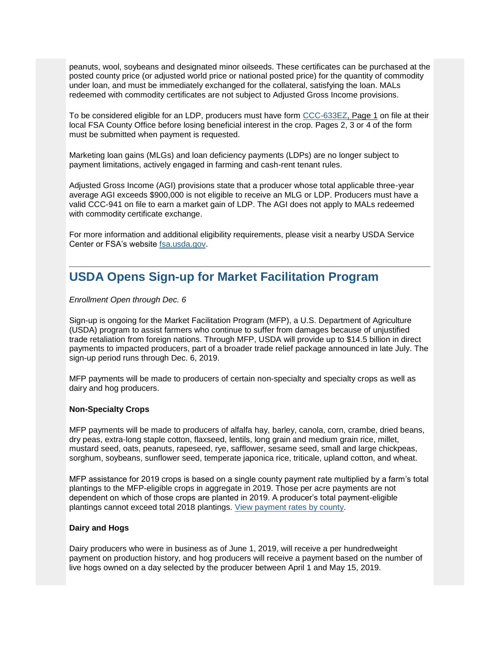peanuts, wool, soybeans and designated minor oilseeds. These certificates can be purchased at the posted county price (or adjusted world price or national posted price) for the quantity of commodity under loan, and must be immediately exchanged for the collateral, satisfying the loan. MALs redeemed with commodity certificates are not subject to Adjusted Gross Income provisions.

To be considered eligible for an LDP, producers must have form [CCC-633EZ,](http://forms.sc.egov.usda.gov/efcommon/eFileServices/eFormsAdmin/CCC0633EZ_140328V03.pdf?utm_medium=email&utm_source=govdelivery) Page 1 on file at their local FSA County Office before losing beneficial interest in the crop. Pages 2, 3 or 4 of the form must be submitted when payment is requested.

Marketing loan gains (MLGs) and loan deficiency payments (LDPs) are no longer subject to payment limitations, actively engaged in farming and cash-rent tenant rules.

Adjusted Gross Income (AGI) provisions state that a producer whose total applicable three-year average AGI exceeds \$900,000 is not eligible to receive an MLG or LDP. Producers must have a valid CCC-941 on file to earn a market gain of LDP. The AGI does not apply to MALs redeemed with commodity certificate exchange.

For more information and additional eligibility requirements, please visit a nearby USDA Service Center or FSA's website [fsa.usda.gov.](https://gcc02.safelinks.protection.outlook.com/?data=02%7C01%7C%7C6a0d1c14a49c4de1fe8008d740f5392e%7Ced5b36e701ee4ebc867ee03cfa0d4697%7C0%7C0%7C637049294275933879&reserved=0&sdata=TrZnKU5oCZyIs24xm1mYwyG3UMgp8snCPG5DUfW35ag%3D&url=http%3A%2F%2Fwww.fsa.usda.gov%3Futm_medium%3Demail%26utm_source%3Dgovdelivery&utm_medium=email&utm_source=govdelivery)

## <span id="page-4-0"></span>**USDA Opens Sign-up for Market Facilitation Program**

*Enrollment Open through Dec. 6* 

Sign-up is ongoing for the Market Facilitation Program (MFP), a U.S. Department of Agriculture (USDA) program to assist farmers who continue to suffer from damages because of unjustified trade retaliation from foreign nations. Through MFP, USDA will provide up to \$14.5 billion in direct payments to impacted producers, part of a broader trade relief package announced in late July. The sign-up period runs through Dec. 6, 2019.

MFP payments will be made to producers of certain non-specialty and specialty crops as well as dairy and hog producers.

#### **Non-Specialty Crops**

MFP payments will be made to producers of alfalfa hay, barley, canola, corn, crambe, dried beans, dry peas, extra-long staple cotton, flaxseed, lentils, long grain and medium grain rice, millet, mustard seed, oats, peanuts, rapeseed, rye, safflower, sesame seed, small and large chickpeas, sorghum, soybeans, sunflower seed, temperate japonica rice, triticale, upland cotton, and wheat.

MFP assistance for 2019 crops is based on a single county payment rate multiplied by a farm's total plantings to the MFP-eligible crops in aggregate in 2019. Those per acre payments are not dependent on which of those crops are planted in 2019. A producer's total payment-eligible plantings cannot exceed total 2018 plantings. [View payment rates by county.](https://gcc02.safelinks.protection.outlook.com/?url=https%3A%2F%2Fwww.fsa.usda.gov%2Fprograms-and-services%2Fmarket-facilitation-program%2Findex%3Futm_medium%3Demail%26utm_source%3Dgovdelivery&data=02%7C01%7C%7C8572926d68684edd44dd08d758984986%7Ced5b36e701ee4ebc867ee03cfa0d4697%7C0%7C0%7C637075283412048226&sdata=5nPXx1ZbDZL5gyC0XHXxxIvSTDHXdEgI%2F37yTn34g2I%3D&reserved=0)

#### **Dairy and Hogs**

Dairy producers who were in business as of June 1, 2019, will receive a per hundredweight payment on production history, and hog producers will receive a payment based on the number of live hogs owned on a day selected by the producer between April 1 and May 15, 2019.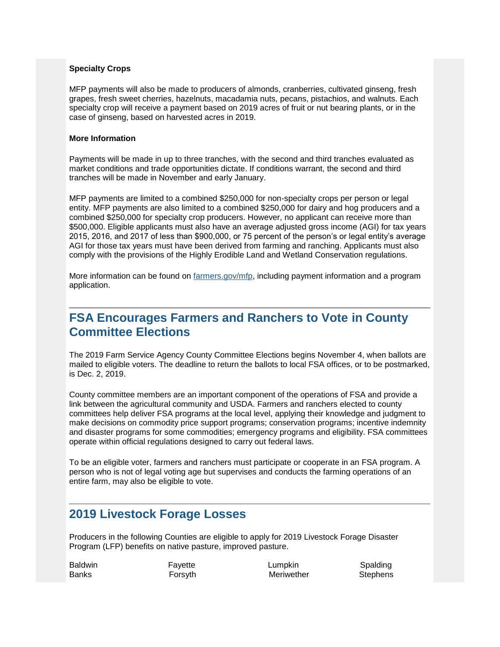#### **Specialty Crops**

MFP payments will also be made to producers of almonds, cranberries, cultivated ginseng, fresh grapes, fresh sweet cherries, hazelnuts, macadamia nuts, pecans, pistachios, and walnuts. Each specialty crop will receive a payment based on 2019 acres of fruit or nut bearing plants, or in the case of ginseng, based on harvested acres in 2019.

#### **More Information**

Payments will be made in up to three tranches, with the second and third tranches evaluated as market conditions and trade opportunities dictate. If conditions warrant, the second and third tranches will be made in November and early January.

MFP payments are limited to a combined \$250,000 for non-specialty crops per person or legal entity. MFP payments are also limited to a combined \$250,000 for dairy and hog producers and a combined \$250,000 for specialty crop producers. However, no applicant can receive more than \$500,000. Eligible applicants must also have an average adjusted gross income (AGI) for tax years 2015, 2016, and 2017 of less than \$900,000, or 75 percent of the person's or legal entity's average AGI for those tax years must have been derived from farming and ranching. Applicants must also comply with the provisions of the Highly Erodible Land and Wetland Conservation regulations.

More information can be found on [farmers.gov/mfp,](https://gcc02.safelinks.protection.outlook.com/?url=https%3A%2F%2Fwww.farmers.gov%2Fmanage%2Fmfp%3Futm_medium%3Demail%26utm_source%3Dgovdelivery&data=02%7C01%7C%7C8572926d68684edd44dd08d758984986%7Ced5b36e701ee4ebc867ee03cfa0d4697%7C0%7C1%7C637075283412058219&sdata=It67Qc%2BVsS0YBVgKrUJslhS4%2FluNYLUjq%2F%2F2o%2BfAYkQ%3D&reserved=0) including payment information and a program application.

## <span id="page-5-0"></span>**FSA Encourages Farmers and Ranchers to Vote in County Committee Elections**

The 2019 Farm Service Agency County Committee Elections begins November 4, when ballots are mailed to eligible voters. The deadline to return the ballots to local FSA offices, or to be postmarked, is Dec. 2, 2019.

County committee members are an important component of the operations of FSA and provide a link between the agricultural community and USDA. Farmers and ranchers elected to county committees help deliver FSA programs at the local level, applying their knowledge and judgment to make decisions on commodity price support programs; conservation programs; incentive indemnity and disaster programs for some commodities; emergency programs and eligibility. FSA committees operate within official regulations designed to carry out federal laws.

To be an eligible voter, farmers and ranchers must participate or cooperate in an FSA program. A person who is not of legal voting age but supervises and conducts the farming operations of an entire farm, may also be eligible to vote.

### <span id="page-5-1"></span>**2019 Livestock Forage Losses**

Producers in the following Counties are eligible to apply for 2019 Livestock Forage Disaster Program (LFP) benefits on native pasture, improved pasture.

Baldwin Fayette Lumpkin Spalding Banks **Forsyth** Forsyth Meriwether Stephens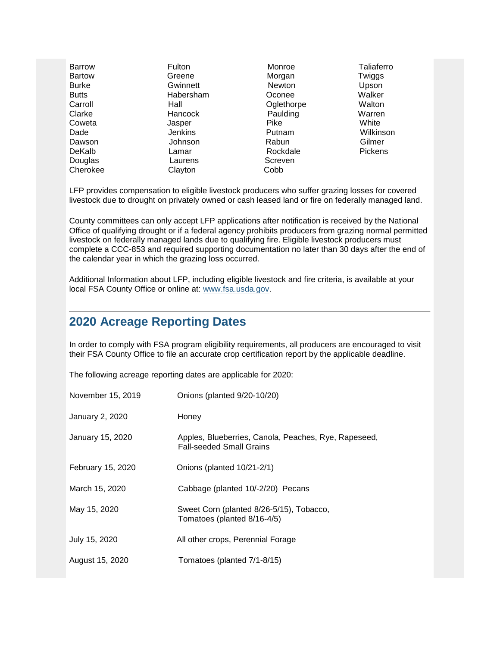| <b>Barrow</b> | <b>Fulton</b>  | Monroe        | Taliaferro     |
|---------------|----------------|---------------|----------------|
| <b>Bartow</b> | Greene         | Morgan        | Twiggs         |
| <b>Burke</b>  | Gwinnett       | <b>Newton</b> | Upson          |
| <b>Butts</b>  | Habersham      | Oconee        | Walker         |
| Carroll       | Hall           | Oglethorpe    | Walton         |
| Clarke        | Hancock        | Paulding      | Warren         |
| Coweta        | Jasper         | <b>Pike</b>   | White          |
| Dade          | <b>Jenkins</b> | Putnam        | Wilkinson      |
| Dawson        | Johnson        | Rabun         | Gilmer         |
| DeKalb        | Lamar          | Rockdale      | <b>Pickens</b> |
| Douglas       | Laurens        | Screven       |                |
| Cherokee      | Clayton        | Cobb          |                |

LFP provides compensation to eligible livestock producers who suffer grazing losses for covered livestock due to drought on privately owned or cash leased land or fire on federally managed land.

County committees can only accept LFP applications after notification is received by the National Office of qualifying drought or if a federal agency prohibits producers from grazing normal permitted livestock on federally managed lands due to qualifying fire. Eligible livestock producers must complete a CCC-853 and required supporting documentation no later than 30 days after the end of the calendar year in which the grazing loss occurred.

Additional Information about LFP, including eligible livestock and fire criteria, is available at your local FSA County Office or online at: [www.fsa.usda.gov.](https://gcc02.safelinks.protection.outlook.com/?url=http%3A%2F%2Fwww.fsa.usda.gov%2F%3Futm_medium%3Demail%26utm_source%3Dgovdelivery&data=02%7C01%7C%7C8572926d68684edd44dd08d758984986%7Ced5b36e701ee4ebc867ee03cfa0d4697%7C0%7C0%7C637075283412058219&sdata=VVJaGHqf5ZoLNtCrvqGWU5YKSVHA9tYO8QQfM6R8Zf4%3D&reserved=0)

## <span id="page-6-0"></span>**2020 Acreage Reporting Dates**

In order to comply with FSA program eligibility requirements, all producers are encouraged to visit their FSA County Office to file an accurate crop certification report by the applicable deadline.

The following acreage reporting dates are applicable for 2020:

| November 15, 2019 | Onions (planted 9/20-10/20)                                                             |
|-------------------|-----------------------------------------------------------------------------------------|
| January 2, 2020   | Honey                                                                                   |
| January 15, 2020  | Apples, Blueberries, Canola, Peaches, Rye, Rapeseed,<br><b>Fall-seeded Small Grains</b> |
| February 15, 2020 | Onions (planted 10/21-2/1)                                                              |
| March 15, 2020    | Cabbage (planted 10/-2/20) Pecans                                                       |
| May 15, 2020      | Sweet Corn (planted 8/26-5/15), Tobacco,<br>Tomatoes (planted 8/16-4/5)                 |
| July 15, 2020     | All other crops, Perennial Forage                                                       |
| August 15, 2020   | Tomatoes (planted 7/1-8/15)                                                             |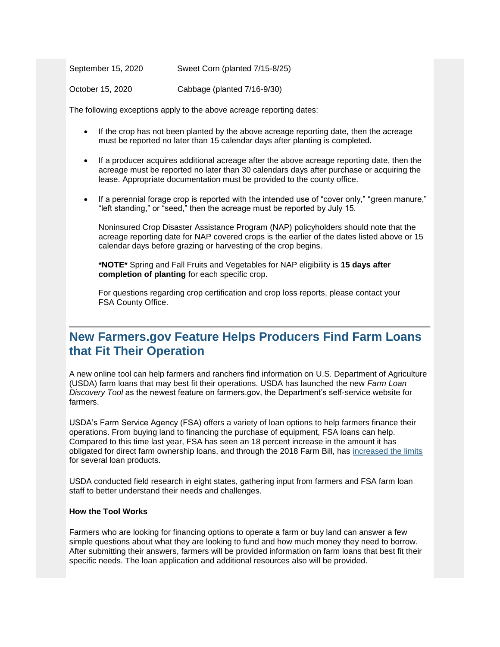September 15, 2020 Sweet Corn (planted 7/15-8/25)

October 15, 2020 Cabbage (planted 7/16-9/30)

The following exceptions apply to the above acreage reporting dates:

- If the crop has not been planted by the above acreage reporting date, then the acreage must be reported no later than 15 calendar days after planting is completed.
- If a producer acquires additional acreage after the above acreage reporting date, then the acreage must be reported no later than 30 calendars days after purchase or acquiring the lease. Appropriate documentation must be provided to the county office.
- If a perennial forage crop is reported with the intended use of "cover only," "green manure," "left standing," or "seed," then the acreage must be reported by July 15.

Noninsured Crop Disaster Assistance Program (NAP) policyholders should note that the acreage reporting date for NAP covered crops is the earlier of the dates listed above or 15 calendar days before grazing or harvesting of the crop begins.

**\*NOTE\*** Spring and Fall Fruits and Vegetables for NAP eligibility is **15 days after completion of planting** for each specific crop.

For questions regarding crop certification and crop loss reports, please contact your FSA County Office.

## <span id="page-7-0"></span>**New Farmers.gov Feature Helps Producers Find Farm Loans that Fit Their Operation**

A new online tool can help farmers and ranchers find information on U.S. Department of Agriculture (USDA) farm loans that may best fit their operations. USDA has launched the new *Farm Loan Discovery Tool* as the newest feature on farmers.gov, the Department's self-service website for farmers.

USDA's Farm Service Agency (FSA) offers a variety of loan options to help farmers finance their operations. From buying land to financing the purchase of equipment, FSA loans can help. Compared to this time last year, FSA has seen an 18 percent increase in the amount it has obligated for direct farm ownership loans, and through the 2018 Farm Bill, has [increased the limits](https://gcc02.safelinks.protection.outlook.com/?url=https%3A%2F%2Fwww.fsa.usda.gov%2Fnews-room%2Fnews-releases%2F2019%2Fhigher-limits-now-available-on-usda-farm-loans%3Futm_medium%3Demail%26utm_source%3Dgovdelivery&data=02%7C01%7C%7C8572926d68684edd44dd08d758984986%7Ced5b36e701ee4ebc867ee03cfa0d4697%7C0%7C0%7C637075283412068215&sdata=q53%2FAdrTp5yl0S0n9czZ96R28mafskxMI%2FH0EddAq0o%3D&reserved=0) for several loan products.

USDA conducted field research in eight states, gathering input from farmers and FSA farm loan staff to better understand their needs and challenges.

#### **How the Tool Works**

Farmers who are looking for financing options to operate a farm or buy land can answer a few simple questions about what they are looking to fund and how much money they need to borrow. After submitting their answers, farmers will be provided information on farm loans that best fit their specific needs. The loan application and additional resources also will be provided.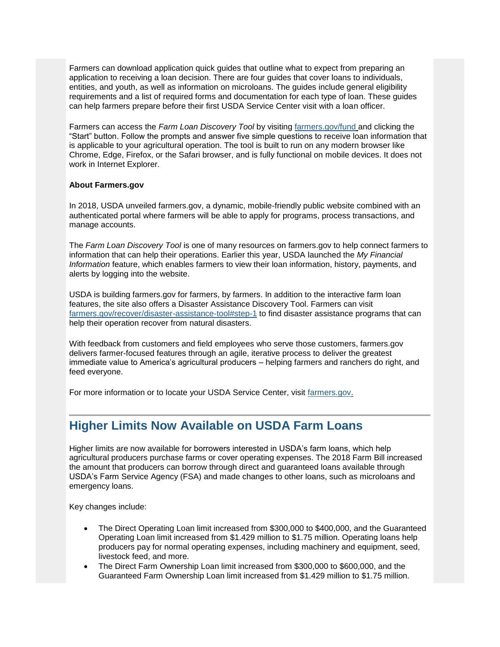Farmers can download application quick guides that outline what to expect from preparing an application to receiving a loan decision. There are four guides that cover loans to individuals, entities, and youth, as well as information on microloans. The guides include general eligibility requirements and a list of required forms and documentation for each type of loan. These guides can help farmers prepare before their first USDA Service Center visit with a loan officer.

Farmers can access the *Farm Loan Discovery Tool* by visiting [farmers.gov/fund](https://gcc02.safelinks.protection.outlook.com/?url=https%3A%2F%2Fwww.farmers.gov%2Ffund%3Futm_medium%3Demail%26utm_source%3Dgovdelivery&data=02%7C01%7C%7C8572926d68684edd44dd08d758984986%7Ced5b36e701ee4ebc867ee03cfa0d4697%7C0%7C1%7C637075283412068215&sdata=6SKTueGIkH06MIdSY8s%2Fy9TueDP6l7J2YGkNWct3lSM%3D&reserved=0) and clicking the "Start" button. Follow the prompts and answer five simple questions to receive loan information that is applicable to your agricultural operation. The tool is built to run on any modern browser like Chrome, Edge, Firefox, or the Safari browser, and is fully functional on mobile devices. It does not work in Internet Explorer.

#### **About Farmers.gov**

In 2018, USDA unveiled farmers.gov, a dynamic, mobile-friendly public website combined with an authenticated portal where farmers will be able to apply for programs, process transactions, and manage accounts.

The *Farm Loan Discovery Tool* is one of many resources on farmers.gov to help connect farmers to information that can help their operations. Earlier this year, USDA launched the *My Financial Information* feature, which enables farmers to view their loan information, history, payments, and alerts by logging into the website.

USDA is building farmers.gov for farmers, by farmers. In addition to the interactive farm loan features, the site also offers a Disaster Assistance Discovery Tool. Farmers can visit [farmers.gov/recover/disaster-assistance-tool#step-1](https://gcc02.safelinks.protection.outlook.com/?url=https%3A%2F%2Fwww.farmers.gov%2Frecover%2Fdisaster-assistance-tool%3Futm_medium%3Demail%26utm_source%3Dgovdelivery%23step-1&data=02%7C01%7C%7C8572926d68684edd44dd08d758984986%7Ced5b36e701ee4ebc867ee03cfa0d4697%7C0%7C1%7C637075283412078203&sdata=j6rMBViYmyyGCJnNMSwqIMtQX8LRHQq7yii7W0zmcyQ%3D&reserved=0) to find disaster assistance programs that can help their operation recover from natural disasters.

With feedback from customers and field employees who serve those customers, farmers.gov delivers farmer-focused features through an agile, iterative process to deliver the greatest immediate value to America's agricultural producers – helping farmers and ranchers do right, and feed everyone.

For more information or to locate your USDA Service Center, visit [farmers.gov.](https://gcc02.safelinks.protection.outlook.com/?url=https%3A%2F%2Fwww.farmers.gov%2F%3Futm_medium%3Demail%26utm_source%3Dgovdelivery&data=02%7C01%7C%7C8572926d68684edd44dd08d758984986%7Ced5b36e701ee4ebc867ee03cfa0d4697%7C0%7C1%7C637075283412078203&sdata=PmZnQEQ7QZX5khtlUvYy6o76d9lqzpKw44DdoQoXxMA%3D&reserved=0)

## <span id="page-8-0"></span>**Higher Limits Now Available on USDA Farm Loans**

Higher limits are now available for borrowers interested in USDA's farm loans, which help agricultural producers purchase farms or cover operating expenses. The 2018 Farm Bill increased the amount that producers can borrow through direct and guaranteed loans available through USDA's Farm Service Agency (FSA) and made changes to other loans, such as microloans and emergency loans.

Key changes include:

- The Direct Operating Loan limit increased from \$300,000 to \$400,000, and the Guaranteed Operating Loan limit increased from \$1.429 million to \$1.75 million. Operating loans help producers pay for normal operating expenses, including machinery and equipment, seed, livestock feed, and more.
- The Direct Farm Ownership Loan limit increased from \$300,000 to \$600,000, and the Guaranteed Farm Ownership Loan limit increased from \$1.429 million to \$1.75 million.